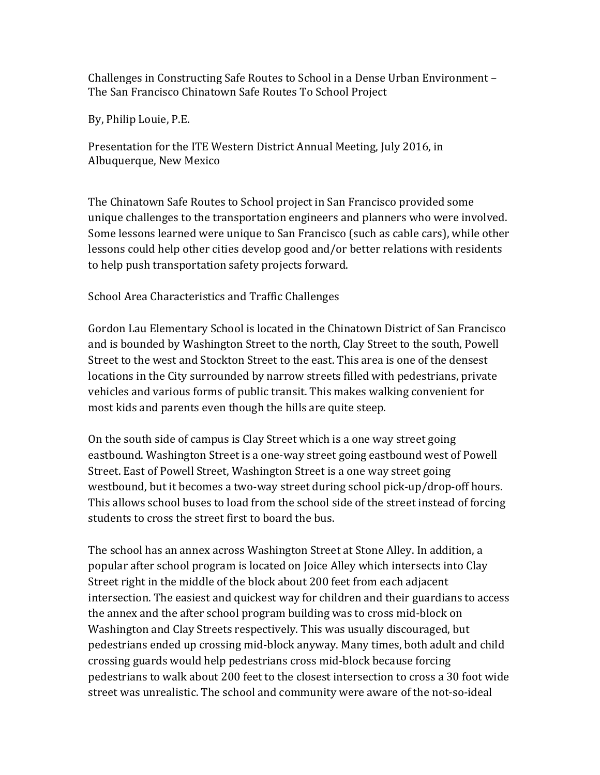Challenges in Constructing Safe Routes to School in a Dense Urban Environment – The San Francisco Chinatown Safe Routes To School Project

By, Philip Louie, P.E.

Presentation for the ITE Western District Annual Meeting, July 2016, in Albuquerque, New Mexico

The Chinatown Safe Routes to School project in San Francisco provided some unique challenges to the transportation engineers and planners who were involved. Some lessons learned were unique to San Francisco (such as cable cars), while other lessons could help other cities develop good and/or better relations with residents to help push transportation safety projects forward.

School Area Characteristics and Traffic Challenges

Gordon Lau Elementary School is located in the Chinatown District of San Francisco and is bounded by Washington Street to the north, Clay Street to the south, Powell Street to the west and Stockton Street to the east. This area is one of the densest locations in the City surrounded by narrow streets filled with pedestrians, private vehicles and various forms of public transit. This makes walking convenient for most kids and parents even though the hills are quite steep.

On the south side of campus is Clay Street which is a one way street going eastbound. Washington Street is a one-way street going eastbound west of Powell Street. East of Powell Street, Washington Street is a one way street going westbound, but it becomes a two-way street during school pick-up/drop-off hours. This allows school buses to load from the school side of the street instead of forcing students to cross the street first to board the bus.

The school has an annex across Washington Street at Stone Alley. In addition, a popular after school program is located on Joice Alley which intersects into Clay Street right in the middle of the block about 200 feet from each adjacent intersection. The easiest and quickest way for children and their guardians to access the annex and the after school program building was to cross mid-block on Washington and Clay Streets respectively. This was usually discouraged, but pedestrians ended up crossing mid-block anyway. Many times, both adult and child crossing guards would help pedestrians cross mid-block because forcing pedestrians to walk about 200 feet to the closest intersection to cross a 30 foot wide street was unrealistic. The school and community were aware of the not-so-ideal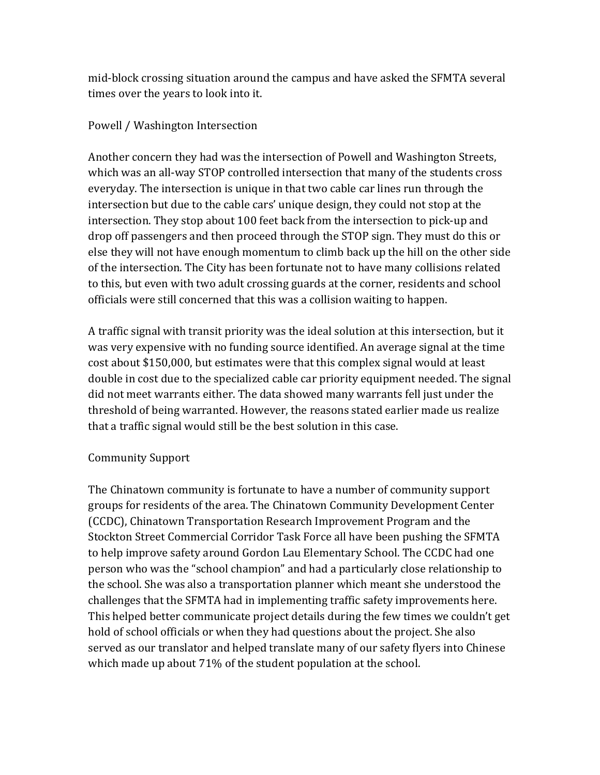mid-block crossing situation around the campus and have asked the SFMTA several times over the years to look into it.

## Powell / Washington Intersection

Another concern they had was the intersection of Powell and Washington Streets, which was an all-way STOP controlled intersection that many of the students cross everyday. The intersection is unique in that two cable car lines run through the intersection but due to the cable cars' unique design, they could not stop at the intersection. They stop about 100 feet back from the intersection to pick-up and drop off passengers and then proceed through the STOP sign. They must do this or else they will not have enough momentum to climb back up the hill on the other side of the intersection. The City has been fortunate not to have many collisions related to this, but even with two adult crossing guards at the corner, residents and school officials were still concerned that this was a collision waiting to happen.

A traffic signal with transit priority was the ideal solution at this intersection, but it was very expensive with no funding source identified. An average signal at the time cost about \$150,000, but estimates were that this complex signal would at least double in cost due to the specialized cable car priority equipment needed. The signal did not meet warrants either. The data showed many warrants fell just under the threshold of being warranted. However, the reasons stated earlier made us realize that a traffic signal would still be the best solution in this case.

## Community Support

The Chinatown community is fortunate to have a number of community support groups for residents of the area. The Chinatown Community Development Center (CCDC), Chinatown Transportation Research Improvement Program and the Stockton Street Commercial Corridor Task Force all have been pushing the SFMTA to help improve safety around Gordon Lau Elementary School. The CCDC had one person who was the "school champion" and had a particularly close relationship to the school. She was also a transportation planner which meant she understood the challenges that the SFMTA had in implementing traffic safety improvements here. This helped better communicate project details during the few times we couldn't get hold of school officials or when they had questions about the project. She also served as our translator and helped translate many of our safety flyers into Chinese which made up about  $71\%$  of the student population at the school.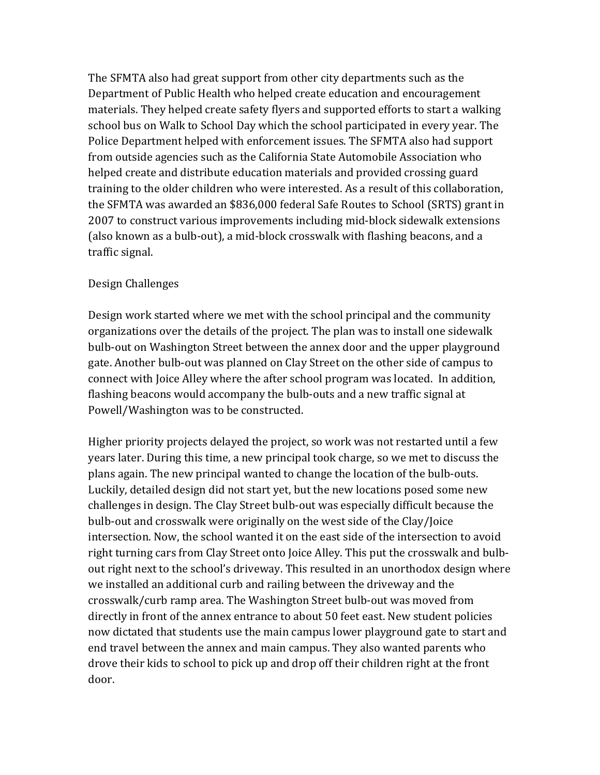The SFMTA also had great support from other city departments such as the Department of Public Health who helped create education and encouragement materials. They helped create safety flyers and supported efforts to start a walking school bus on Walk to School Day which the school participated in every year. The Police Department helped with enforcement issues. The SFMTA also had support from outside agencies such as the California State Automobile Association who helped create and distribute education materials and provided crossing guard training to the older children who were interested. As a result of this collaboration, the SFMTA was awarded an \$836,000 federal Safe Routes to School (SRTS) grant in 2007 to construct various improvements including mid-block sidewalk extensions (also known as a bulb-out), a mid-block crosswalk with flashing beacons, and a traffic signal.

## Design Challenges

Design work started where we met with the school principal and the community organizations over the details of the project. The plan was to install one sidewalk bulb-out on Washington Street between the annex door and the upper playground gate. Another bulb-out was planned on Clay Street on the other side of campus to connect with Joice Alley where the after school program was located. In addition, flashing beacons would accompany the bulb-outs and a new traffic signal at Powell/Washington was to be constructed.

Higher priority projects delayed the project, so work was not restarted until a few years later. During this time, a new principal took charge, so we met to discuss the plans again. The new principal wanted to change the location of the bulb-outs. Luckily, detailed design did not start yet, but the new locations posed some new challenges in design. The Clay Street bulb-out was especially difficult because the bulb-out and crosswalk were originally on the west side of the Clay/Joice intersection. Now, the school wanted it on the east side of the intersection to avoid right turning cars from Clay Street onto Joice Alley. This put the crosswalk and bulbout right next to the school's driveway. This resulted in an unorthodox design where we installed an additional curb and railing between the driveway and the crosswalk/curb ramp area. The Washington Street bulb-out was moved from directly in front of the annex entrance to about 50 feet east. New student policies now dictated that students use the main campus lower playground gate to start and end travel between the annex and main campus. They also wanted parents who drove their kids to school to pick up and drop off their children right at the front door.)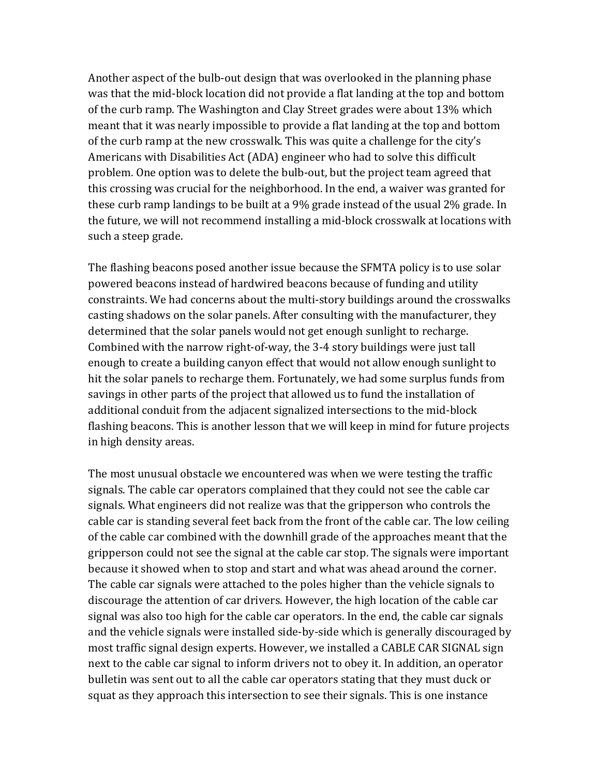Another aspect of the bulb-out design that was overlooked in the planning phase was that the mid-block location did not provide a flat landing at the top and bottom of the curb ramp. The Washington and Clay Street grades were about 13% which meant that it was nearly impossible to provide a flat landing at the top and bottom of the curb ramp at the new crosswalk. This was quite a challenge for the city's Americans with Disabilities Act (ADA) engineer who had to solve this difficult problem. One option was to delete the bulb-out, but the project team agreed that this crossing was crucial for the neighborhood. In the end, a waiver was granted for these curb ramp landings to be built at a 9% grade instead of the usual 2% grade. In the future, we will not recommend installing a mid-block crosswalk at locations with such a steep grade.

The flashing beacons posed another issue because the SFMTA policy is to use solar powered beacons instead of hardwired beacons because of funding and utility constraints. We had concerns about the multi-story buildings around the crosswalks casting shadows on the solar panels. After consulting with the manufacturer, they determined that the solar panels would not get enough sunlight to recharge. Combined with the narrow right-of-way, the 3-4 story buildings were just tall enough to create a building canyon effect that would not allow enough sunlight to hit the solar panels to recharge them. Fortunately, we had some surplus funds from savings in other parts of the project that allowed us to fund the installation of additional conduit from the adjacent signalized intersections to the mid-block flashing beacons. This is another lesson that we will keep in mind for future projects in high density areas.

The most unusual obstacle we encountered was when we were testing the traffic signals. The cable car operators complained that they could not see the cable car signals. What engineers did not realize was that the gripperson who controls the cable car is standing several feet back from the front of the cable car. The low ceiling of the cable car combined with the downhill grade of the approaches meant that the gripperson could not see the signal at the cable car stop. The signals were important because it showed when to stop and start and what was ahead around the corner. The cable car signals were attached to the poles higher than the vehicle signals to discourage the attention of car drivers. However, the high location of the cable car signal was also too high for the cable car operators. In the end, the cable car signals and the vehicle signals were installed side-by-side which is generally discouraged by most traffic signal design experts. However, we installed a CABLE CAR SIGNAL sign next to the cable car signal to inform drivers not to obey it. In addition, an operator bulletin was sent out to all the cable car operators stating that they must duck or squat as they approach this intersection to see their signals. This is one instance